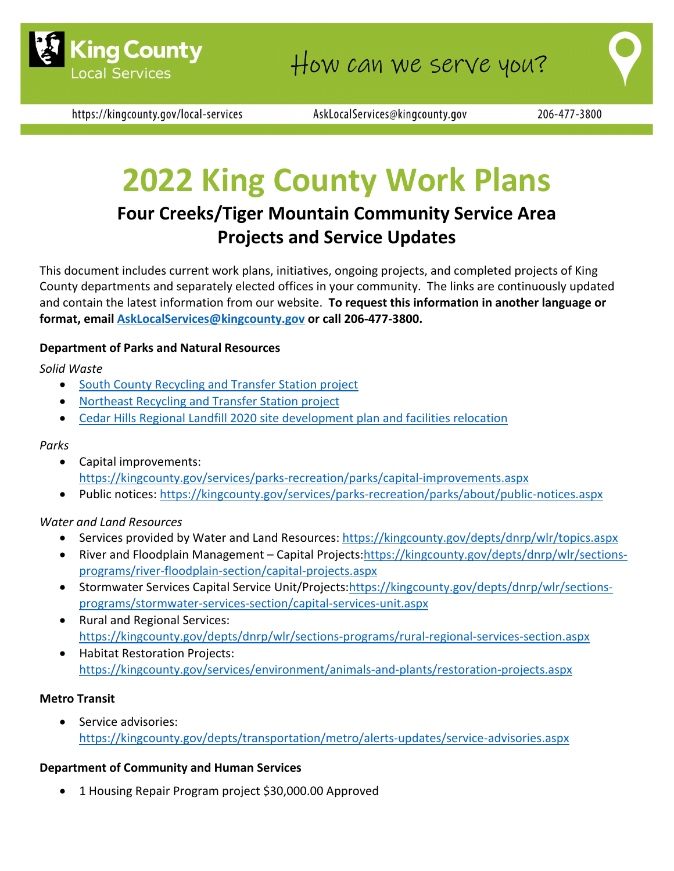

https://kingcounty.gov/local-services

AskLocalServices@kingcounty.gov

206-477-3800

# **2022 King County Work Plans**

# **Four Creeks/Tiger Mountain Community Service Area Projects and Service Updates**

This document includes current work plans, initiatives, ongoing projects, and completed projects of King County departments and separately elected offices in your community. The links are continuously updated and contain the latest information from our website. **To request this information in another language or format, email [AskLocalServices@kingcounty.gov](mailto:AskLocalServices@kingcounty.gov) or call 206-477-3800.**

#### **Department of Parks and Natural Resources**

*Solid Waste*

- [South County Recycling and](https://kingcounty.gov/depts/dnrp/solid-waste/facilities/south-county.aspx) Transfer Station project
- [Northeast Recycling and](https://kingcounty.gov/depts/dnrp/solid-waste/facilities/northeast.aspx) Transfer Station project
- [Cedar Hills Regional Landfill 2020 site development plan and facilities relocation](https://kingcounty.gov/depts/dnrp/solid-waste/facilities/landfills/cedar-hills-development.aspx)

#### *Parks*

- Capital improvements: <https://kingcounty.gov/services/parks-recreation/parks/capital-improvements.aspx>
- Public notices:<https://kingcounty.gov/services/parks-recreation/parks/about/public-notices.aspx>

#### *Water and Land Resources*

- Services provided by Water and Land Resources:<https://kingcounty.gov/depts/dnrp/wlr/topics.aspx>
- River and Floodplain Management Capital Projects[:https://kingcounty.gov/depts/dnrp/wlr/sections](https://kingcounty.gov/depts/dnrp/wlr/sections-programs/river-floodplain-section/capital-projects.aspx)[programs/river-floodplain-section/capital-projects.aspx](https://kingcounty.gov/depts/dnrp/wlr/sections-programs/river-floodplain-section/capital-projects.aspx)
- Stormwater Services Capital Service Unit/Projects[:https://kingcounty.gov/depts/dnrp/wlr/sections](https://kingcounty.gov/depts/dnrp/wlr/sections-programs/stormwater-services-section/capital-services-unit.aspx)[programs/stormwater-services-section/capital-services-unit.aspx](https://kingcounty.gov/depts/dnrp/wlr/sections-programs/stormwater-services-section/capital-services-unit.aspx)
- Rural and Regional Services: <https://kingcounty.gov/depts/dnrp/wlr/sections-programs/rural-regional-services-section.aspx>
- Habitat Restoration Projects: <https://kingcounty.gov/services/environment/animals-and-plants/restoration-projects.aspx>

#### **Metro Transit**

Service advisories: <https://kingcounty.gov/depts/transportation/metro/alerts-updates/service-advisories.aspx>

#### **Department of Community and Human Services**

• 1 Housing Repair Program project \$30,000.00 Approved